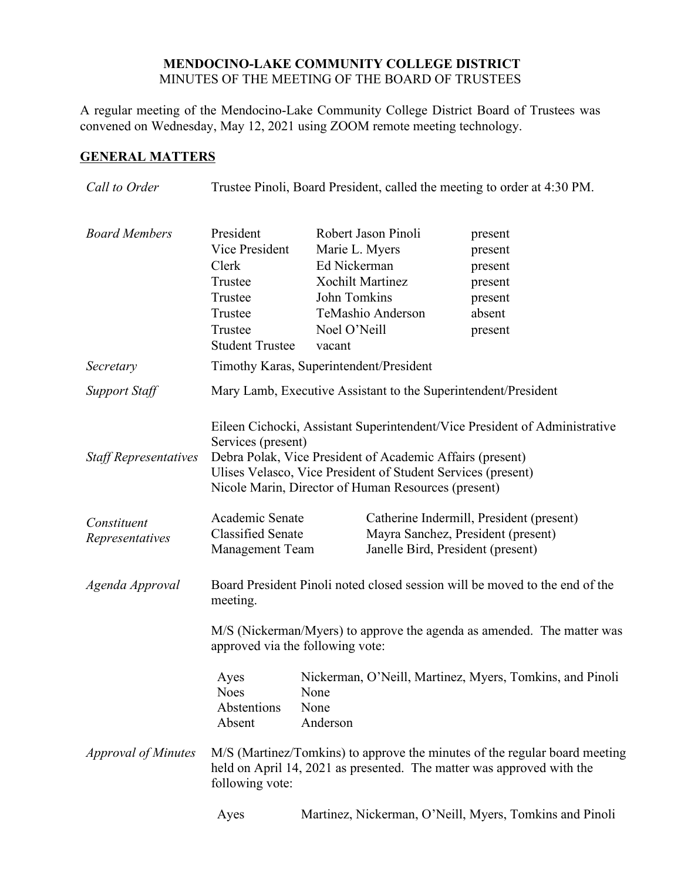#### **MENDOCINO-LAKE COMMUNITY COLLEGE DISTRICT** MINUTES OF THE MEETING OF THE BOARD OF TRUSTEES

A regular meeting of the Mendocino-Lake Community College District Board of Trustees was convened on Wednesday, May 12, 2021 using ZOOM remote meeting technology.

# **GENERAL MATTERS**

| Call to Order                  | Trustee Pinoli, Board President, called the meeting to order at 4:30 PM.                                                                                               |                                                                          |                                                                                                                  |                                                                                                                                            |
|--------------------------------|------------------------------------------------------------------------------------------------------------------------------------------------------------------------|--------------------------------------------------------------------------|------------------------------------------------------------------------------------------------------------------|--------------------------------------------------------------------------------------------------------------------------------------------|
| <b>Board Members</b>           | President<br>Vice President<br>Clerk<br>Trustee<br>Trustee<br>Trustee<br>Trustee<br><b>Student Trustee</b>                                                             | Marie L. Myers<br>Ed Nickerman<br>John Tomkins<br>Noel O'Neill<br>vacant | Robert Jason Pinoli<br><b>Xochilt Martinez</b><br>TeMashio Anderson                                              | present<br>present<br>present<br>present<br>present<br>absent<br>present                                                                   |
| Secretary                      | Timothy Karas, Superintendent/President                                                                                                                                |                                                                          |                                                                                                                  |                                                                                                                                            |
| Support Staff                  | Mary Lamb, Executive Assistant to the Superintendent/President                                                                                                         |                                                                          |                                                                                                                  |                                                                                                                                            |
| <b>Staff Representatives</b>   | Services (present)                                                                                                                                                     |                                                                          | Debra Polak, Vice President of Academic Affairs (present)<br>Nicole Marin, Director of Human Resources (present) | Eileen Cichocki, Assistant Superintendent/Vice President of Administrative<br>Ulises Velasco, Vice President of Student Services (present) |
| Constituent<br>Representatives | Academic Senate<br><b>Classified Senate</b><br><b>Management Team</b>                                                                                                  |                                                                          |                                                                                                                  | Catherine Indermill, President (present)<br>Mayra Sanchez, President (present)<br>Janelle Bird, President (present)                        |
| Agenda Approval                | Board President Pinoli noted closed session will be moved to the end of the<br>meeting.                                                                                |                                                                          |                                                                                                                  |                                                                                                                                            |
|                                | M/S (Nickerman/Myers) to approve the agenda as amended. The matter was<br>approved via the following vote:                                                             |                                                                          |                                                                                                                  |                                                                                                                                            |
|                                | Ayes<br><b>Noes</b><br>Abstentions<br>Absent                                                                                                                           | None<br>None<br>Anderson                                                 |                                                                                                                  | Nickerman, O'Neill, Martinez, Myers, Tomkins, and Pinoli                                                                                   |
| <b>Approval of Minutes</b>     | M/S (Martinez/Tomkins) to approve the minutes of the regular board meeting<br>held on April 14, 2021 as presented. The matter was approved with the<br>following vote: |                                                                          |                                                                                                                  |                                                                                                                                            |
|                                | Ayes                                                                                                                                                                   |                                                                          |                                                                                                                  | Martinez, Nickerman, O'Neill, Myers, Tomkins and Pinoli                                                                                    |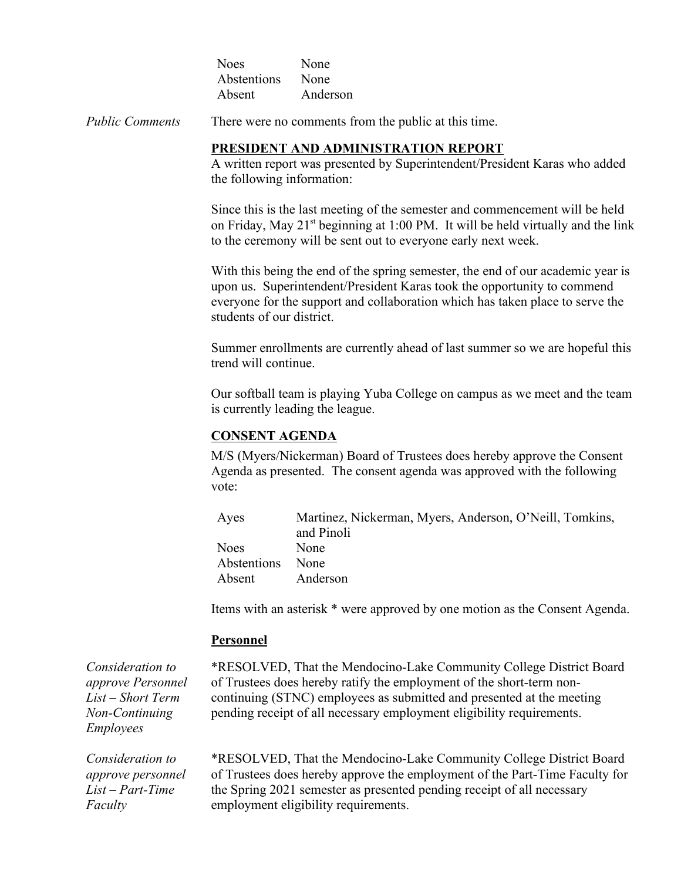| <b>Noes</b> | None     |
|-------------|----------|
| Abstentions | None     |
| Absent      | Anderson |

*Public Comments* There were no comments from the public at this time.

#### **PRESIDENT AND ADMINISTRATION REPORT**

A written report was presented by Superintendent/President Karas who added the following information:

Since this is the last meeting of the semester and commencement will be held on Friday, May  $21^{st}$  beginning at 1:00 PM. It will be held virtually and the link to the ceremony will be sent out to everyone early next week.

With this being the end of the spring semester, the end of our academic year is upon us. Superintendent/President Karas took the opportunity to commend everyone for the support and collaboration which has taken place to serve the students of our district.

Summer enrollments are currently ahead of last summer so we are hopeful this trend will continue.

Our softball team is playing Yuba College on campus as we meet and the team is currently leading the league.

### **CONSENT AGENDA**

M/S (Myers/Nickerman) Board of Trustees does hereby approve the Consent Agenda as presented. The consent agenda was approved with the following vote:

| Ayes             | Martinez, Nickerman, Myers, Anderson, O'Neill, Tomkins, |
|------------------|---------------------------------------------------------|
|                  | and Pinoli                                              |
| <b>Noes</b>      | <b>None</b>                                             |
| Abstentions None |                                                         |
| Absent           | Anderson                                                |

Items with an asterisk \* were approved by one motion as the Consent Agenda.

#### **Personnel**

*Consideration to approve Personnel List – Short Term Non-Continuing Employees*

\*RESOLVED, That the Mendocino-Lake Community College District Board of Trustees does hereby ratify the employment of the short-term noncontinuing (STNC) employees as submitted and presented at the meeting pending receipt of all necessary employment eligibility requirements.

*Consideration to approve personnel List – Part-Time Faculty*

\*RESOLVED, That the Mendocino-Lake Community College District Board of Trustees does hereby approve the employment of the Part-Time Faculty for the Spring 2021 semester as presented pending receipt of all necessary employment eligibility requirements.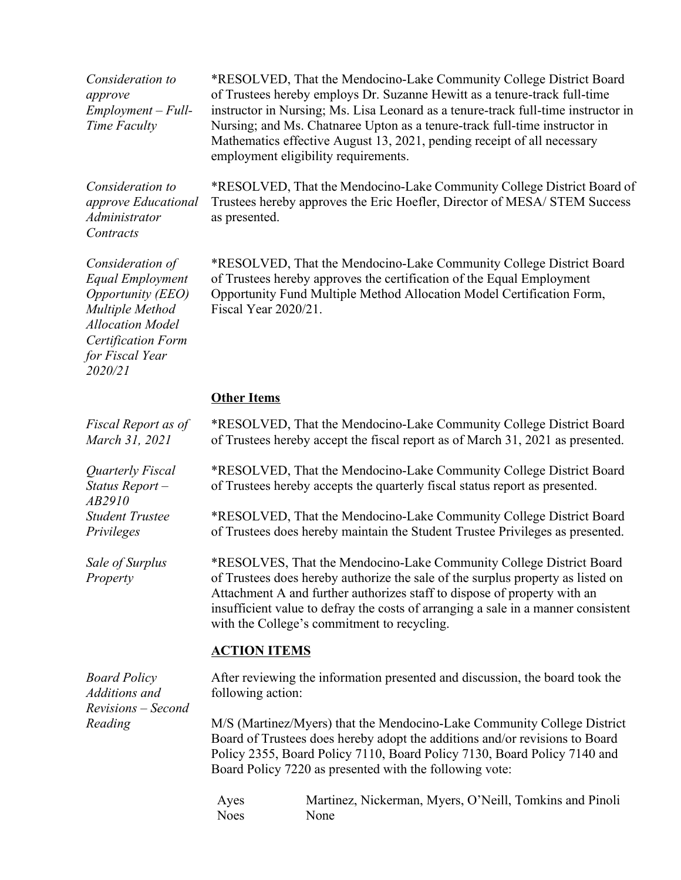*Consideration to approve Employment – Full-Time Faculty*

\*RESOLVED, That the Mendocino-Lake Community College District Board of Trustees hereby employs Dr. Suzanne Hewitt as a tenure-track full-time instructor in Nursing; Ms. Lisa Leonard as a tenure-track full-time instructor in Nursing; and Ms. Chatnaree Upton as a tenure-track full-time instructor in Mathematics effective August 13, 2021, pending receipt of all necessary employment eligibility requirements.

*Consideration to approve Educational Administrator Contracts*

\*RESOLVED, That the Mendocino-Lake Community College District Board of Trustees hereby approves the Eric Hoefler, Director of MESA/ STEM Success as presented.

*Consideration of Equal Employment Opportunity (EEO) Multiple Method Allocation Model Certification Form for Fiscal Year 2020/21*

\*RESOLVED, That the Mendocino-Lake Community College District Board of Trustees hereby approves the certification of the Equal Employment Opportunity Fund Multiple Method Allocation Model Certification Form, Fiscal Year 2020/21.

## **Other Items**

| Fiscal Report as of<br>March 31, 2021           |                                                                                                                                                                                                                                                                                               | *RESOLVED, That the Mendocino-Lake Community College District Board<br>of Trustees hereby accept the fiscal report as of March 31, 2021 as presented.                                                                                                                                                                                                                  |  |
|-------------------------------------------------|-----------------------------------------------------------------------------------------------------------------------------------------------------------------------------------------------------------------------------------------------------------------------------------------------|------------------------------------------------------------------------------------------------------------------------------------------------------------------------------------------------------------------------------------------------------------------------------------------------------------------------------------------------------------------------|--|
| Quarterly Fiscal<br>Status Report $-$<br>AB2910 |                                                                                                                                                                                                                                                                                               | *RESOLVED, That the Mendocino-Lake Community College District Board<br>of Trustees hereby accepts the quarterly fiscal status report as presented.                                                                                                                                                                                                                     |  |
| <b>Student Trustee</b><br>Privileges            |                                                                                                                                                                                                                                                                                               | *RESOLVED, That the Mendocino-Lake Community College District Board<br>of Trustees does hereby maintain the Student Trustee Privileges as presented.                                                                                                                                                                                                                   |  |
| Sale of Surplus<br>Property                     |                                                                                                                                                                                                                                                                                               | *RESOLVES, That the Mendocino-Lake Community College District Board<br>of Trustees does hereby authorize the sale of the surplus property as listed on<br>Attachment A and further authorizes staff to dispose of property with an<br>insufficient value to defray the costs of arranging a sale in a manner consistent<br>with the College's commitment to recycling. |  |
|                                                 | <b>ACTION ITEMS</b>                                                                                                                                                                                                                                                                           |                                                                                                                                                                                                                                                                                                                                                                        |  |
| <b>Board Policy</b><br>Additions and            | following action:                                                                                                                                                                                                                                                                             | After reviewing the information presented and discussion, the board took the                                                                                                                                                                                                                                                                                           |  |
| Revisions - Second<br>Reading                   | M/S (Martinez/Myers) that the Mendocino-Lake Community College District<br>Board of Trustees does hereby adopt the additions and/or revisions to Board<br>Policy 2355, Board Policy 7110, Board Policy 7130, Board Policy 7140 and<br>Board Policy 7220 as presented with the following vote: |                                                                                                                                                                                                                                                                                                                                                                        |  |
|                                                 | Ayes<br><b>Noes</b>                                                                                                                                                                                                                                                                           | Martinez, Nickerman, Myers, O'Neill, Tomkins and Pinoli<br>None                                                                                                                                                                                                                                                                                                        |  |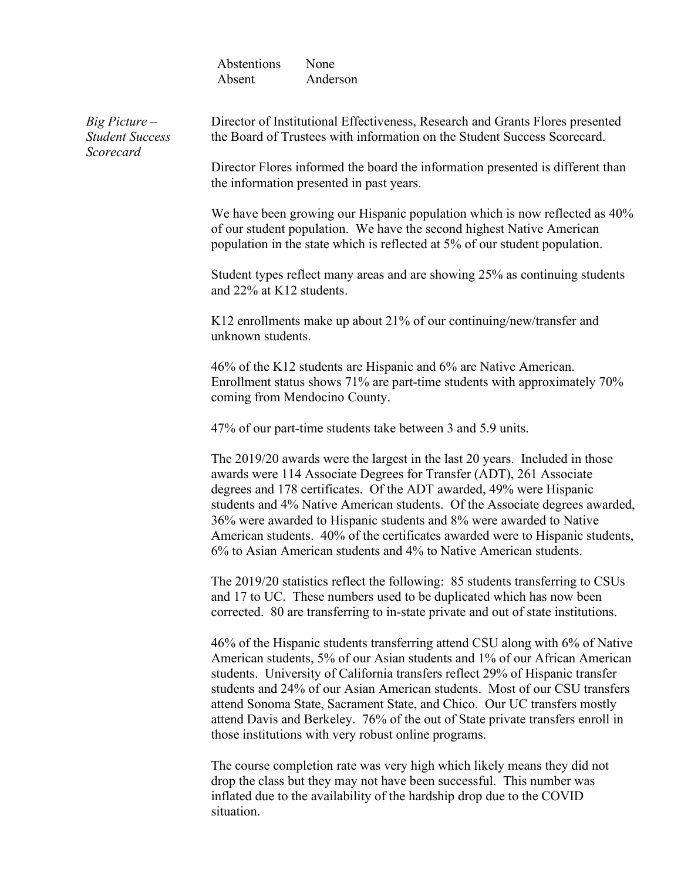| Abstentions | None     |
|-------------|----------|
| Absent      | Anderson |

*Big Picture – Student Success Scorecard*

Director of Institutional Effectiveness, Research and Grants Flores presented the Board of Trustees with information on the Student Success Scorecard.

Director Flores informed the board the information presented is different than the information presented in past years.

We have been growing our Hispanic population which is now reflected as  $40\%$ of our student population. We have the second highest Native American population in the state which is reflected at 5% of our student population.

Student types reflect many areas and are showing 25% as continuing students and 22% at K12 students.

K12 enrollments make up about 21% of our continuing/new/transfer and unknown students.

46% of the K12 students are Hispanic and 6% are Native American. Enrollment status shows 71% are part-time students with approximately 70% coming from Mendocino County.

47% of our part-time students take between 3 and 5.9 units.

The 2019/20 awards were the largest in the last 20 years. Included in those awards were 114 Associate Degrees for Transfer (ADT), 261 Associate degrees and 178 certificates. Of the ADT awarded, 49% were Hispanic students and 4% Native American students. Of the Associate degrees awarded, 36% were awarded to Hispanic students and 8% were awarded to Native American students. 40% of the certificates awarded were to Hispanic students, 6% to Asian American students and 4% to Native American students.

The 2019/20 statistics reflect the following: 85 students transferring to CSUs and 17 to UC. These numbers used to be duplicated which has now been corrected. 80 are transferring to in-state private and out of state institutions.

46% of the Hispanic students transferring attend CSU along with 6% of Native American students, 5% of our Asian students and 1% of our African American students. University of California transfers reflect 29% of Hispanic transfer students and 24% of our Asian American students. Most of our CSU transfers attend Sonoma State, Sacrament State, and Chico. Our UC transfers mostly attend Davis and Berkeley. 76% of the out of State private transfers enroll in those institutions with very robust online programs.

The course completion rate was very high which likely means they did not drop the class but they may not have been successful. This number was inflated due to the availability of the hardship drop due to the COVID situation.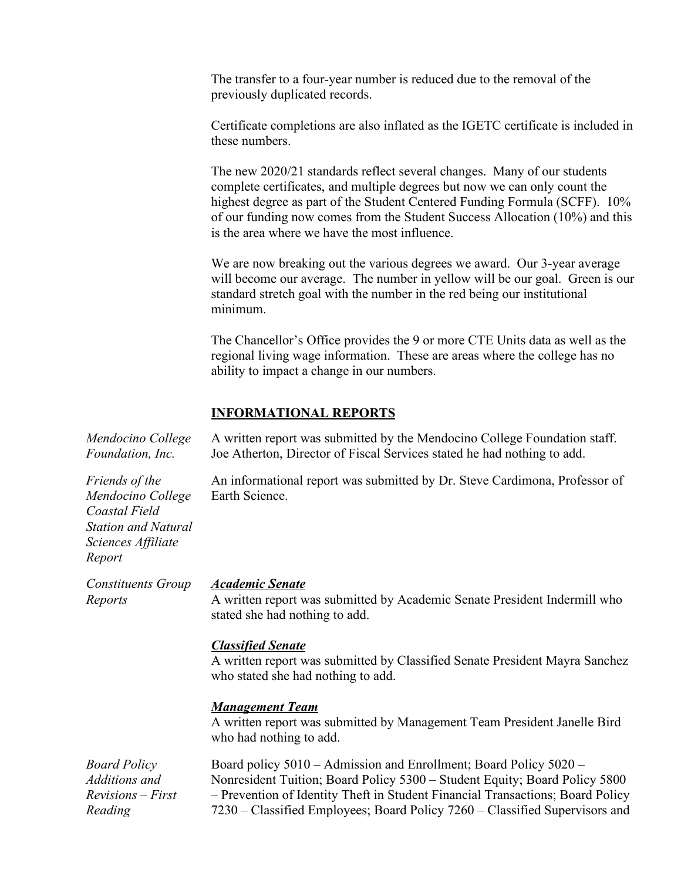The transfer to a four-year number is reduced due to the removal of the previously duplicated records.

Certificate completions are also inflated as the IGETC certificate is included in these numbers.

The new 2020/21 standards reflect several changes. Many of our students complete certificates, and multiple degrees but now we can only count the highest degree as part of the Student Centered Funding Formula (SCFF). 10% of our funding now comes from the Student Success Allocation (10%) and this is the area where we have the most influence.

We are now breaking out the various degrees we award. Our 3-year average will become our average. The number in yellow will be our goal. Green is our standard stretch goal with the number in the red being our institutional minimum.

The Chancellor's Office provides the 9 or more CTE Units data as well as the regional living wage information. These are areas where the college has no ability to impact a change in our numbers.

### **INFORMATIONAL REPORTS**

| Mendocino College<br>Foundation, Inc.                                                                              | A written report was submitted by the Mendocino College Foundation staff.<br>Joe Atherton, Director of Fiscal Services stated he had nothing to add.                                                                                                                                                             |
|--------------------------------------------------------------------------------------------------------------------|------------------------------------------------------------------------------------------------------------------------------------------------------------------------------------------------------------------------------------------------------------------------------------------------------------------|
| Friends of the<br>Mendocino College<br>Coastal Field<br><b>Station and Natural</b><br>Sciences Affiliate<br>Report | An informational report was submitted by Dr. Steve Cardimona, Professor of<br>Earth Science.                                                                                                                                                                                                                     |
| <b>Constituents Group</b><br>Reports                                                                               | <b>Academic Senate</b><br>A written report was submitted by Academic Senate President Indermill who<br>stated she had nothing to add.                                                                                                                                                                            |
|                                                                                                                    | <b>Classified Senate</b><br>A written report was submitted by Classified Senate President Mayra Sanchez<br>who stated she had nothing to add.                                                                                                                                                                    |
|                                                                                                                    | <b>Management Team</b><br>A written report was submitted by Management Team President Janelle Bird<br>who had nothing to add.                                                                                                                                                                                    |
| <b>Board Policy</b><br>Additions and<br>$Revisions - First$<br>Reading                                             | Board policy 5010 – Admission and Enrollment; Board Policy 5020 –<br>Nonresident Tuition; Board Policy 5300 - Student Equity; Board Policy 5800<br>- Prevention of Identity Theft in Student Financial Transactions; Board Policy<br>7230 – Classified Employees; Board Policy 7260 – Classified Supervisors and |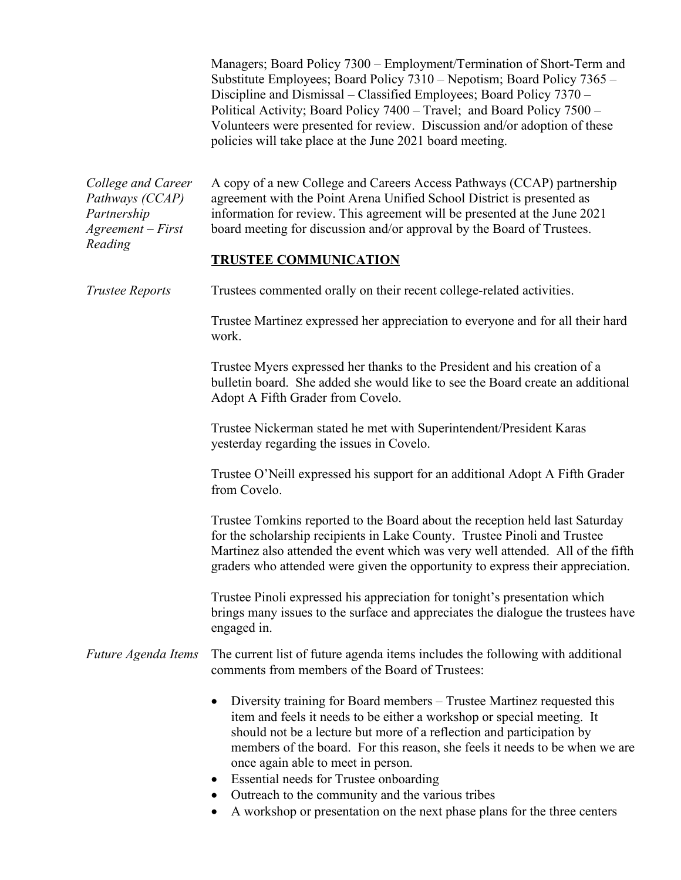|                                                                             | Managers; Board Policy 7300 – Employment/Termination of Short-Term and<br>Substitute Employees; Board Policy 7310 - Nepotism; Board Policy 7365 -<br>Discipline and Dismissal – Classified Employees; Board Policy 7370 –<br>Political Activity; Board Policy 7400 - Travel; and Board Policy 7500 -<br>Volunteers were presented for review. Discussion and/or adoption of these<br>policies will take place at the June 2021 board meeting.                                                                                         |  |
|-----------------------------------------------------------------------------|---------------------------------------------------------------------------------------------------------------------------------------------------------------------------------------------------------------------------------------------------------------------------------------------------------------------------------------------------------------------------------------------------------------------------------------------------------------------------------------------------------------------------------------|--|
| College and Career<br>Pathways (CCAP)<br>Partnership<br>$Agreement - First$ | A copy of a new College and Careers Access Pathways (CCAP) partnership<br>agreement with the Point Arena Unified School District is presented as<br>information for review. This agreement will be presented at the June 2021<br>board meeting for discussion and/or approval by the Board of Trustees.                                                                                                                                                                                                                               |  |
| Reading                                                                     | <b>TRUSTEE COMMUNICATION</b>                                                                                                                                                                                                                                                                                                                                                                                                                                                                                                          |  |
| <b>Trustee Reports</b>                                                      | Trustees commented orally on their recent college-related activities.                                                                                                                                                                                                                                                                                                                                                                                                                                                                 |  |
|                                                                             | Trustee Martinez expressed her appreciation to everyone and for all their hard<br>work.                                                                                                                                                                                                                                                                                                                                                                                                                                               |  |
|                                                                             | Trustee Myers expressed her thanks to the President and his creation of a<br>bulletin board. She added she would like to see the Board create an additional<br>Adopt A Fifth Grader from Covelo.                                                                                                                                                                                                                                                                                                                                      |  |
|                                                                             | Trustee Nickerman stated he met with Superintendent/President Karas<br>yesterday regarding the issues in Covelo.                                                                                                                                                                                                                                                                                                                                                                                                                      |  |
|                                                                             | Trustee O'Neill expressed his support for an additional Adopt A Fifth Grader<br>from Covelo.                                                                                                                                                                                                                                                                                                                                                                                                                                          |  |
|                                                                             | Trustee Tomkins reported to the Board about the reception held last Saturday<br>for the scholarship recipients in Lake County. Trustee Pinoli and Trustee<br>Martinez also attended the event which was very well attended. All of the fifth<br>graders who attended were given the opportunity to express their appreciation.                                                                                                                                                                                                        |  |
|                                                                             | Trustee Pinoli expressed his appreciation for tonight's presentation which<br>brings many issues to the surface and appreciates the dialogue the trustees have<br>engaged in.                                                                                                                                                                                                                                                                                                                                                         |  |
| Future Agenda Items                                                         | The current list of future agenda items includes the following with additional<br>comments from members of the Board of Trustees:                                                                                                                                                                                                                                                                                                                                                                                                     |  |
|                                                                             | Diversity training for Board members – Trustee Martinez requested this<br>item and feels it needs to be either a workshop or special meeting. It<br>should not be a lecture but more of a reflection and participation by<br>members of the board. For this reason, she feels it needs to be when we are<br>once again able to meet in person.<br>Essential needs for Trustee onboarding<br>$\bullet$<br>Outreach to the community and the various tribes<br>A workshop or presentation on the next phase plans for the three centers |  |